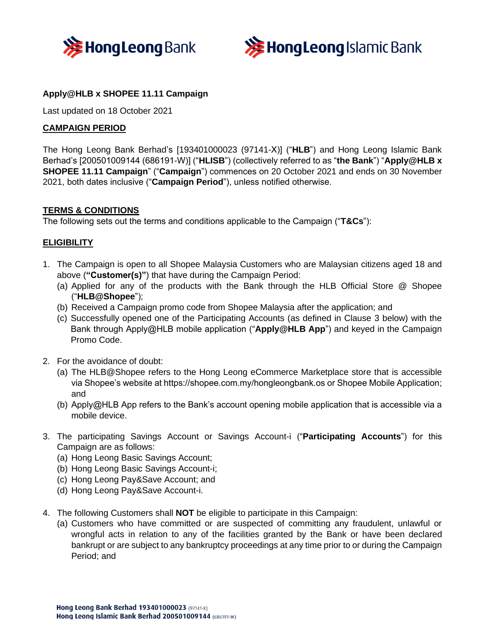



# **Apply@HLB x SHOPEE 11.11 Campaign**

Last updated on 18 October 2021

### **CAMPAIGN PERIOD**

The Hong Leong Bank Berhad's [193401000023 (97141-X)] ("**HLB**") and Hong Leong Islamic Bank Berhad's [200501009144 (686191-W)] ("**HLISB**") (collectively referred to as "**the Bank**") "**Apply@HLB x SHOPEE 11.11 Campaign**" ("**Campaign**") commences on 20 October 2021 and ends on 30 November 2021, both dates inclusive ("**Campaign Period**"), unless notified otherwise.

#### **TERMS & CONDITIONS**

The following sets out the terms and conditions applicable to the Campaign ("**T&Cs**"):

### **ELIGIBILITY**

- 1. The Campaign is open to all Shopee Malaysia Customers who are Malaysian citizens aged 18 and above (**"Customer(s)"**) that have during the Campaign Period:
	- (a) Applied for any of the products with the Bank through the HLB Official Store @ Shopee ("**HLB@Shopee**");
	- (b) Received a Campaign promo code from Shopee Malaysia after the application; and
	- (c) Successfully opened one of the Participating Accounts (as defined in Clause 3 below) with the Bank through Apply@HLB mobile application ("**Apply@HLB App**") and keyed in the Campaign Promo Code.
- 2. For the avoidance of doubt:
	- (a) The HLB@Shopee refers to the Hong Leong eCommerce Marketplace store that is accessible via Shopee's website at https://shopee.com.my/hongleongbank.os or Shopee Mobile Application; and
	- (b) Apply@HLB App refers to the Bank's account opening mobile application that is accessible via a mobile device.
- 3. The participating Savings Account or Savings Account-i ("**Participating Accounts**") for this Campaign are as follows:
	- (a) Hong Leong Basic Savings Account;
	- (b) Hong Leong Basic Savings Account-i;
	- (c) Hong Leong Pay&Save Account; and
	- (d) Hong Leong Pay&Save Account-i.
- 4. The following Customers shall **NOT** be eligible to participate in this Campaign:
	- (a) Customers who have committed or are suspected of committing any fraudulent, unlawful or wrongful acts in relation to any of the facilities granted by the Bank or have been declared bankrupt or are subject to any bankruptcy proceedings at any time prior to or during the Campaign Period; and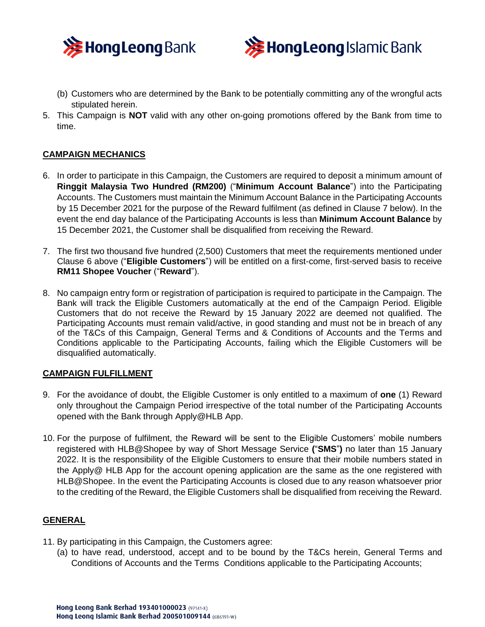



- (b) Customers who are determined by the Bank to be potentially committing any of the wrongful acts stipulated herein.
- 5. This Campaign is **NOT** valid with any other on-going promotions offered by the Bank from time to time.

## **CAMPAIGN MECHANICS**

- 6. In order to participate in this Campaign, the Customers are required to deposit a minimum amount of **Ringgit Malaysia Two Hundred (RM200)** ("**Minimum Account Balance**") into the Participating Accounts. The Customers must maintain the Minimum Account Balance in the Participating Accounts by 15 December 2021 for the purpose of the Reward fulfilment (as defined in Clause 7 below). In the event the end day balance of the Participating Accounts is less than **Minimum Account Balance** by 15 December 2021, the Customer shall be disqualified from receiving the Reward.
- 7. The first two thousand five hundred (2,500) Customers that meet the requirements mentioned under Clause 6 above ("**Eligible Customers**") will be entitled on a first-come, first-served basis to receive **RM11 Shopee Voucher** ("**Reward**").
- 8. No campaign entry form or registration of participation is required to participate in the Campaign. The Bank will track the Eligible Customers automatically at the end of the Campaign Period. Eligible Customers that do not receive the Reward by 15 January 2022 are deemed not qualified. The Participating Accounts must remain valid/active, in good standing and must not be in breach of any of the T&Cs of this Campaign, General Terms and & Conditions of Accounts and the Terms and Conditions applicable to the Participating Accounts, failing which the Eligible Customers will be disqualified automatically.

#### **CAMPAIGN FULFILLMENT**

- 9. For the avoidance of doubt, the Eligible Customer is only entitled to a maximum of **one** (1) Reward only throughout the Campaign Period irrespective of the total number of the Participating Accounts opened with the Bank through Apply@HLB App.
- 10. For the purpose of fulfilment, the Reward will be sent to the Eligible Customers' mobile numbers registered with HLB@Shopee by way of Short Message Service **(**"**SMS**"**)** no later than 15 January 2022. It is the responsibility of the Eligible Customers to ensure that their mobile numbers stated in the Apply@ HLB App for the account opening application are the same as the one registered with HLB@Shopee. In the event the Participating Accounts is closed due to any reason whatsoever prior to the crediting of the Reward, the Eligible Customers shall be disqualified from receiving the Reward.

## **GENERAL**

- 11. By participating in this Campaign, the Customers agree:
	- (a) to have read, understood, accept and to be bound by the T&Cs herein, General Terms and Conditions of Accounts and the Terms Conditions applicable to the Participating Accounts;